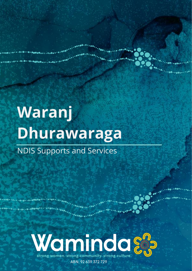# **Waranj Dhurawaraga** NDIS Supports and Services

Waranj Dhurawaraga - Growing Strong Together Strong Together Strong Together Strong Together Strong Together S<br>1980 - Growing Together Strong Together Strong Together Strong Together Strong Together Strong Together Strong



639 372 729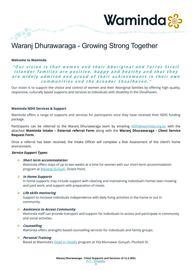

# Waranj Dhurawaraga - Growing Strong Together

#### **Welcome to Waminda**

"Our vision is that women and their Aboriginal and Torres Strait Islander families are positive, happy and healthy and that they are widely admired and proud of their achievements in their own communities and the broader Shoalhaven."

Our vision is to support the choice and control of women and their Aboriginal families by offering high quality, responsive, culturally based supports and services to individuals with disability in the Shoalhaven.

#### **Waminda NDIS Services & Support**

**0** 0 <sub>0</sub>.00<sup>0.00</sup>00.............00<sup>000000</sup>

Waminda offers a range of supports and services for participants once they have received their NDIS funding package.

Participants can be referred to the Waranj Dhurawaraga team by emailing [NDIS@waminda.org.au](mailto:NDIS@waminda.org.au) with the attached **Waminda Intake – External referral Form** along with the **Waranj Dhurawaraga - Client Service Request Form**.

Once a referral has been received, the Intake Officer will complete a Risk Assessment of the client's home environment.

#### **Service Support Types:**

#### **Short term accommodation**

Waminda offers stays of up to two weeks at a time for women with our short-term accommodation program at [Balaang Gunyah,](http://www.waminda.org.au/balaang-healing-services) Orient Point.

#### **In Home Supports**

In home supports may include support with cleaning and maintaining individual's homes lawn mowing and yard work, and support with preparation of meals.

#### **Life skills mentoring**

Support to increase individuals independence with daily living activities in the home or out in community.

#### **Assistance to Access Community**

Waminda staff can provide transport and support for individuals to access and participate in community and social activities.

#### **Counselling**

Waminda offers strengths based counselling services for individuals and family groups.

#### **Personal Training**

Based at Waminda's [Dead or](http://www.waminda.org.au/health-and-wellbeing) Deadly program at Yila Murnawar Gunyah, Plunkett St.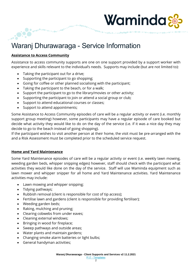# Waminda

# Waranj Dhurawaraga - Service Information

#### **Assistance to Access Community**

...

Assistance to access community supports are one on one support provided by a support worker with experience and skills relevant to the individual's needs. Supports may include (but are not limited to):

- Taking the participant out for a drive;
- Supporting the participant to go shopping;
- Going for coffee or other planned socialising with the participant;
- Taking the participant to the beach, or for a walk;
- Support the participant to go to the library/movies or other activity;
- Supporting the participant to join or attend a social group or club;
- Support to attend educational courses or classes;
- Support to attend appointments;

Some Assistance to Access Community episodes of care will be a regular activity or event (i.e. monthly support group meeting) however, some participants may have a regular episode of care booked but decide what activity they would like to do on the day of the service (i.e. if it was a nice day they may decide to go to the beach instead of going shopping).

If the participant wishes to visit another person at their home, the visit must be pre-arranged with the and a Risk Assessment must be completed prior to the scheduled service request.

#### **Home and Yard Maintenance**

Some Yard Maintenance episodes of care will be a regular activity or event (i.e. weekly lawn mowing, weeding garden beds, whipper snipping edges) however, staff should check with the participant what activities they would like done on the day of the service. Staff will use Waminda equipment such as lawn mower and whipper snipper for all home and Yard Maintenance activities. Yard Maintenance activities may include:

- Lawn mowing and whipper snipping;
- Tidying pathways;
- Rubbish removal (client is responsible for cost of tip access);
- Fertilise lawn and gardens (client is responsible for providing fertiliser);
- Weeding garden beds;
- Raking, mulching and pruning;
- Clearing cobwebs from under eaves;
- Cleaning external windows;
- Bringing in wood for fireplace;
- Sweep pathways and outside areas;
- Water plants and maintain gardens;
- Changing smoke alarm batteries or light bulbs;
- General handyman activities;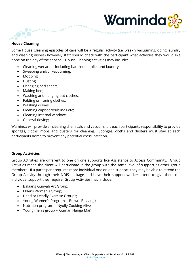#### **House Cleaning**

 $\bullet$ 

Some House Cleaning episodes of care will be a regular activity (i.e. weekly vacuuming, doing laundry and washing dishes) however, staff should check with the participant what activities they would like done on the day of the service. House Cleaning activities may include:

Waminda

• Cleaning wet areas including bathroom, toilet and laundry;

 $,$  or  $^{\circ}$ 

• Sweeping and/or vacuuming;

...<sup>....</sup>.......

- Mopping;
- Dusting;
- Changing bed sheets;
- Making bed;
- Washing and hanging out clothes;
- Folding or ironing clothes;
- Washing dishes;
- Cleaning cupboards/blinds etc;
- Cleaning internal windows;
- General tidying;

Waminda will provide all cleaning chemicals and vacuum. It is each participants responsibility to provide sponges, cloths, mops and dusters for cleaning. Sponges, cloths and dusters must stay at each participants home to prevent any potential cross infection.

#### **Group Activities**

Group Activities are different to one on one supports like Assistance to Access Community. Group Activities mean the client will participate in the group with the same level of support as other group members. If a participant requires more individual one on one support, they may be able to attend the Group Activity through their NDIS package and have their support worker attend to give them the individual support they require. Group Activities may include:

- Balaang Gunyah Art Group;
- Elder's Women's Group;
- Dead or Deadly Exercise Groups;
- Young Women's Program 'Bulwul Balaang';
- Nutrition program 'Nyully Cooking Alive';
- Young men's group 'Guman Nanga Mai'.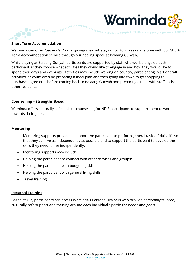#### **Short Term Accommodation**

 $\bullet$ 

Waminda can offer *(dependent on eligibility criteria)* stays of up to 2 weeks at a time with our Short-Term Accommodation service through our healing space at Balaang Gunyah.

Waminda

While staying at Balaang Gunyah participants are supported by staff who work alongside each participant as they choose what activities they would like to engage in and how they would like to spend their days and evenings. Activities may include walking on country, participating in art or craft activities, or could even be preparing a meal plan and then going into town to go shopping to purchase ingredients before coming back to Balaang Gunyah and preparing a meal with staff and/or other residents.

#### **Counselling – Strengths Based**

Waminda offers culturally safe, holistic counselling for NDIS participants to support them to work towards their goals.

#### **Mentoring**

- Mentoring supports provide to support the participant to perform general tasks of daily life so that they can live as independently as possible and to support the participant to develop the skills they need to live independently.
- Mentoring supports may include:
- Helping the participant to connect with other services and groups;
- Helping the participant with budgeting skills;
- Helping the participant with general living skills;
- Travel training;

#### **Personal Training**

Based at Yila, participants can access Waminda's Personal Trainers who provide personally tailored, culturally safe support and training around each individual's particular needs and goals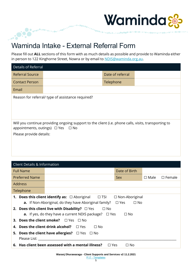

## Waminda Intake - External Referral Form

 $.00$ <sup>c</sup>

**OCONOMICA** 

Please fill out **ALL** sections of this form with as much details as possible and provide to Waminda either in person to 122 Kinghorne Street, Nowra or by email to **NDIS@waminda.org.au**.

| <b>Details of Referral</b> |                                                                                                                                                     |                  |  |
|----------------------------|-----------------------------------------------------------------------------------------------------------------------------------------------------|------------------|--|
| <b>Referral Source</b>     |                                                                                                                                                     | Date of referral |  |
| <b>Contact Person</b>      |                                                                                                                                                     | Telephone        |  |
| Email                      |                                                                                                                                                     |                  |  |
|                            | Reason for referral/ type of assistance required?                                                                                                   |                  |  |
| Please provide details:    | Will you continue providing ongoing support to the client (i.e. phone calls, visits, transporting to<br>appointments, outings) $\Box$ Yes $\Box$ No |                  |  |

|    | <b>Client Details &amp; Information</b>                                                                                                                    |                                                                                                                                      |  |  |            |                                                     |                |                  |
|----|------------------------------------------------------------------------------------------------------------------------------------------------------------|--------------------------------------------------------------------------------------------------------------------------------------|--|--|------------|-----------------------------------------------------|----------------|------------------|
|    | <b>Full Name</b>                                                                                                                                           |                                                                                                                                      |  |  |            | Date of Birth                                       |                |                  |
|    | <b>Preferred Name</b>                                                                                                                                      |                                                                                                                                      |  |  |            | Sex                                                 | $\square$ Male | $\square$ Female |
|    | <b>Address</b>                                                                                                                                             |                                                                                                                                      |  |  |            |                                                     |                |                  |
|    | Telephone                                                                                                                                                  |                                                                                                                                      |  |  |            |                                                     |                |                  |
|    |                                                                                                                                                            | <b>1. Does this client identify as:</b> $\Box$ Aboriginal $\Box$ TSI<br><b>a.</b> If Non-Aboriginal, do they have Aboriginal family? |  |  |            | $\Box$ Non-Aboriginal<br>$\square$ Yes<br>$\Box$ No |                |                  |
|    | <b>2. Does this client live with Disability?</b> $\Box$ Yes<br>$\Box$ No<br><b>a.</b> If yes, do they have a current NDIS package? $\Box$ Yes<br>$\Box$ No |                                                                                                                                      |  |  |            |                                                     |                |                  |
|    | <b>3. Does the client smoke?</b> $\Box$ Yes $\Box$ No                                                                                                      |                                                                                                                                      |  |  |            |                                                     |                |                  |
| 4. | Does the client drink alcohol?<br>$\Box$ No<br>$\Box$ Yes                                                                                                  |                                                                                                                                      |  |  |            |                                                     |                |                  |
|    | <b>5. Does the client have allergies?</b> $\Box$ Yes $\Box$ No                                                                                             |                                                                                                                                      |  |  |            |                                                     |                |                  |
|    | Please List:                                                                                                                                               |                                                                                                                                      |  |  |            |                                                     |                |                  |
|    |                                                                                                                                                            | 6. Has client been assessed with a mental illness?                                                                                   |  |  | $\Box$ Yes | □ No                                                |                |                  |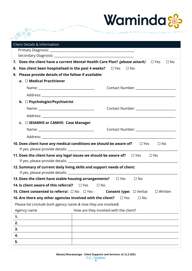

| <b>Client Details &amp; Information</b>               |                                                                                                      |
|-------------------------------------------------------|------------------------------------------------------------------------------------------------------|
|                                                       |                                                                                                      |
|                                                       |                                                                                                      |
|                                                       | 7. Does the client have a current Mental Health Care Plan? (please attach) $\Box$ Yes<br>$\Box$ No   |
|                                                       | 8. Has client been hospitalised in the past 4 weeks? $\Box$ Yes $\Box$ No                            |
| 9. Please provide details of the follow if available: |                                                                                                      |
| $a. \Box$ Medical Practitioner                        |                                                                                                      |
|                                                       |                                                                                                      |
|                                                       |                                                                                                      |
| b. □ Psychologist/Psychiatrist                        |                                                                                                      |
|                                                       |                                                                                                      |
|                                                       |                                                                                                      |
| c. □ SEIAMHS or CAMHS: Case Manager                   |                                                                                                      |
|                                                       |                                                                                                      |
|                                                       |                                                                                                      |
|                                                       | <b>10. Does client have any medical conditions we should be aware of?</b> $\square$ Yes<br>$\Box$ No |
|                                                       |                                                                                                      |
|                                                       | 11. Does the client have any legal issues we should be aware of? $\square$ Yes<br>$\Box$ No          |
|                                                       | 12. Summary of current daily living skills and support needs of client:                              |
| If yes, please provide details: ________              |                                                                                                      |
| 13. Does the client have stable housing arrangements? | $\square$ Yes<br>$\square$ No                                                                        |
| 14. Is client aware of this referral?                 | $\square$ Yes<br>$\Box$ No                                                                           |
| <b>15. Client consented to referral:</b> □ No □ Yes - | <b>Consent type:</b> $\Box$ Verbal<br>$\Box$ Written                                                 |
|                                                       | 16. Are there any other agencies involved with the client?<br>$\square$ Yes<br>$\square$ No          |
|                                                       | Please list (include both agency name & how they are involved)                                       |
| Agency name                                           | How are they involved with the client?                                                               |
| 1.                                                    |                                                                                                      |
| 2.<br>3.                                              |                                                                                                      |
|                                                       |                                                                                                      |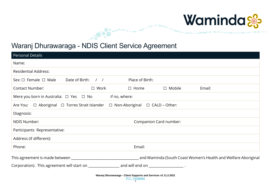

# Waranj Dhurawaraga - NDIS Client Service Agreement

**Secondice** 

| <b>Personal Details</b>                                                                                     |                    |                 |                        |                                                                |
|-------------------------------------------------------------------------------------------------------------|--------------------|-----------------|------------------------|----------------------------------------------------------------|
| Name:                                                                                                       |                    |                 |                        |                                                                |
| <b>Residential Address:</b>                                                                                 |                    |                 |                        |                                                                |
| Sex: $\Box$ Female $\Box$ Male                                                                              | Date of Birth: / / | Place of Birth: |                        |                                                                |
| <b>Contact Number:</b>                                                                                      | $\Box$ Work        | $\Box$ Home     | $\Box$ Mobile          | Email:                                                         |
| Were you born in Australia: $\Box$ Yes $\Box$ No                                                            | if no, where:      |                 |                        |                                                                |
| Are You: $\Box$ Aboriginal $\Box$ Torres Strait Islander $\Box$ Non-Aboriginal $\Box$ CALD - Other:         |                    |                 |                        |                                                                |
| Diagnosis:                                                                                                  |                    |                 |                        |                                                                |
| <b>NDIS Number:</b>                                                                                         |                    |                 | Companion Card number: |                                                                |
| Participants Representative:                                                                                |                    |                 |                        |                                                                |
| Address (if different):                                                                                     |                    |                 |                        |                                                                |
| Phone:                                                                                                      |                    | Email:          |                        |                                                                |
|                                                                                                             |                    |                 |                        | and Waminda (South Coast Women's Health and Welfare Aboriginal |
| Corporation). This agreement will start on _______________________ and will end on _______________________. |                    |                 |                        |                                                                |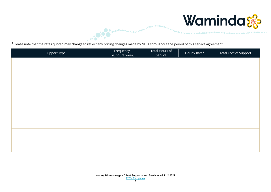

\*Please note that the rates quoted may change to reflect any pricing changes made by NDIA throughout the period of this service agreement.

**COMPARATION** 

| Support Type | Frequency<br>(i.e. hours/week) | Total Hours of<br>Service | Hourly Rate* | Total Cost of Support |
|--------------|--------------------------------|---------------------------|--------------|-----------------------|
|              |                                |                           |              |                       |
|              |                                |                           |              |                       |
|              |                                |                           |              |                       |
|              |                                |                           |              |                       |
|              |                                |                           |              |                       |
|              |                                |                           |              |                       |
|              |                                |                           |              |                       |
|              |                                |                           |              |                       |
|              |                                |                           |              |                       |
|              |                                |                           |              |                       |
|              |                                |                           |              |                       |
|              |                                |                           |              |                       |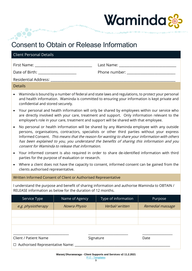

## Consent to Obtain or Release Information

...<sup>....</sup>..

| <b>Client Personal Details</b>               |                                                                                                                                                                                                                                              |
|----------------------------------------------|----------------------------------------------------------------------------------------------------------------------------------------------------------------------------------------------------------------------------------------------|
| Date of Birth: <u>______________________</u> |                                                                                                                                                                                                                                              |
|                                              |                                                                                                                                                                                                                                              |
| <b>Details</b>                               |                                                                                                                                                                                                                                              |
|                                              | <b>AAL</b> ISP SHOP TO STALL A STRING OF $\mathcal{C}\mathcal{C}$ . However, the contract of the contract of the contract of the contract of the contract of the contract of the contract of the contract of the contract of the contract of |

- Waminda is bound by a number of federal and state laws and regulations, to protect your personal and health information. Waminda is committed to ensuring your information is kept private and confidential and stored securely.
- Your personal and health information will only be shared by employees within our service who are directly involved with your care, treatment and support. Only information relevant to the employee's role in your care, treatment and support will be shared with that employee.
- No personal or health information will be shared by any Waminda employee with any outside persons, organisations, contractors, specialists or other third parties without your express Informed Consent. This means that the reason for wanting to share your information with others has been explained to you, you understand the benefits of sharing this information and you consent for Waminda to release that information.
- Your informed consent is also required in order to share de-identified information with third parties for the purpose of evaluation or research.
- Where a client does not have the capacity to consent, informed consent can be gained from the clients authorised representative.

Written Informed Consent of Client or Authorised Representative

I understand the purpose and benefit of sharing information and authorise Waminda to OBTAIN / RELEASE information as below for the duration of 12 months.

| Service Type                                                                                       | Name of Agency | Type of information | Purpose          |  |  |  |
|----------------------------------------------------------------------------------------------------|----------------|---------------------|------------------|--|--|--|
| e.g. physiotherapy                                                                                 | Nowra Physio   | Verbal/ written     | Remedial massage |  |  |  |
|                                                                                                    |                |                     |                  |  |  |  |
|                                                                                                    |                |                     |                  |  |  |  |
|                                                                                                    |                |                     |                  |  |  |  |
| <b>Client / Patient Name</b><br>Signature<br>Date<br>$\Box$ Authorised Representative Name: $\Box$ |                |                     |                  |  |  |  |
|                                                                                                    |                |                     |                  |  |  |  |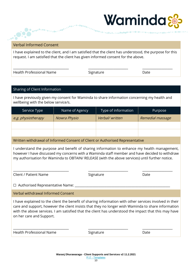

#### Verbal Informed Consent

...<sup>....</sup>..

I have explained to the client, and I am satisfied that the client has understood, the purpose for this request. I am satisfied that the client has given informed consent for the above.

Health Professional Name

\_\_\_\_\_\_\_\_\_\_\_\_\_\_\_\_\_\_\_\_\_\_\_\_\_\_\_\_\_\_\_\_\_\_\_

Signature

\_\_\_\_\_\_\_\_\_\_\_\_\_\_\_\_\_\_\_\_\_\_\_\_\_

Date

 $\overline{\phantom{a}}$  , where  $\overline{\phantom{a}}$ 

#### Sharing of Client Information

I have previously given my consent for Waminda to share information concerning my health and wellbeing with the below service/s.

| Service Type       | Name of Agency | Type of information | Purpose          |
|--------------------|----------------|---------------------|------------------|
| e.g. physiotherapy | Nowra Physio   | Verbal/ written     | Remedial massage |
|                    |                |                     |                  |
|                    |                |                     |                  |

Written withdrawal of Informed Consent of Client or Authorised Representative

I understand the purpose and benefit of sharing information to enhance my health management, however I have discussed my concerns with a Waminda staff member and have decided to withdraw my authorisation for Waminda to OBTAIN/ RELEASE (with the above services) until further notice.

Client / Patient Name

Signature

\_\_\_\_\_\_\_\_\_\_\_\_\_\_\_\_\_\_\_\_\_\_\_\_\_

Date

\_\_\_\_\_\_\_\_\_\_\_\_\_\_\_\_\_\_\_

 $\Box$  Authorised Representative Name:

\_\_\_\_\_\_\_\_\_\_\_\_\_\_\_\_\_\_\_\_\_\_\_\_\_\_\_\_\_\_\_\_\_\_\_

Verbal withdrawal Informed Consent

I have explained to the client the benefit of sharing information with other services involved in their care and support, however the client insists that they no longer wish Waminda to share information with the above services. I am satisfied that the client has understood the impact that this may have on her care and Support.

| <b>Health Professional Name</b> | Signature | Date |
|---------------------------------|-----------|------|
|                                 |           |      |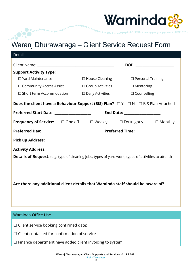

## Waranj Dhurawaraga – Client Service Request Form

 $\sim$ 

| <b>Details</b>                                                                                                    |                            |                                |  |
|-------------------------------------------------------------------------------------------------------------------|----------------------------|--------------------------------|--|
|                                                                                                                   |                            |                                |  |
| <b>Support Activity Type:</b>                                                                                     |                            |                                |  |
| $\Box$ Yard Maintenance                                                                                           | $\Box$ House Cleaning      | $\Box$ Personal Training       |  |
| $\Box$ Community Access Assist                                                                                    | $\square$ Group Activities | $\Box$ Mentoring               |  |
| $\Box$ Short term Accommodation $\Box$ Daily Activities $\Box$ Counselling                                        |                            |                                |  |
| <b>Does the client have a Behaviour Support (BIS) Plan?</b> $\Box Y \Box N \Box B$ IS Plan Attached               |                            |                                |  |
| Preferred Start Date: _______________________                                                                     |                            | End Date: ____________________ |  |
| <b>Frequency of Service:</b> □ One off □ Weekly □ Fortnightly □ Monthly                                           |                            |                                |  |
|                                                                                                                   |                            |                                |  |
|                                                                                                                   |                            |                                |  |
|                                                                                                                   |                            |                                |  |
| <b>Details of Request:</b> (e.g. type of cleaning jobs, types of yard work, types of activities to attend)        |                            |                                |  |
| Are there any additional client details that Waminda staff should be aware of?                                    |                            |                                |  |
| <b>Waminda Office Use</b>                                                                                         |                            |                                |  |
| Client service booking confirmed date: ___________________<br>$\Box$ Client contacted for confirmation of service |                            |                                |  |

 $\Box$  Finance department have added client invoicing to system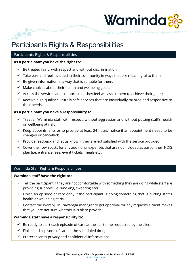# Waminda

# Participants Rights & Responsibilities

#### Participants Rights & Responsibilities

#### **As a participant you have the right to:**

- $\checkmark$  Be treated fairly, with respect and without discrimination;
- $\checkmark$  Take part and feel included in their community in ways that are meaningful to them;
- $\checkmark$  Be given information in a way that is suitable for them;
- $\checkmark$  Make choices about their health and wellbeing goals;
- $\checkmark$  Access the services and supports that they feel will assist them to achieve their goals;
- $\checkmark$  Receive high quality culturally safe services that are individually tailored and responsive to their needs;

#### **As a participant you have a responsibility to:**

- $\checkmark$  Treat all Waminda staff with respect, without aggression and without putting staff's health or wellbeing at risk;
- $\checkmark$  Keep appointments or to provide at least 24 hours' notice if an appointment needs to be changed or cancelled;
- $\checkmark$  Provide feedback and let us know if they are not satisfied with the service provided;
- $\checkmark$  Cover their own costs for any additional expenses that are not included as part of their NDIS plan (i.e. entrance fees, event tickets, meals etc);

#### Waminda Staff Rights & Responsibilities

#### **Waminda staff have the right too:**

- $\checkmark$  Tell the participant if they are not comfortable with something they are doing while staff are providing support (i.e. smoking, swearing etc);
- $\checkmark$  Finish an episode of care early if the participant is doing something that is putting staff's health or wellbeing at risk;
- $\checkmark$  Contact the Waranj Dhurawaraga manager to get approval for any requests a client makes that you are not sure whether it is ok to provide;

#### **Waminda staff have a responsibility to:**

- $\checkmark$  Be ready to start each episode of care at the start time requested by the client;
- $\checkmark$  Finish each episode of care at the scheduled time;
- $\checkmark$  Protect client's privacy and confidential information;